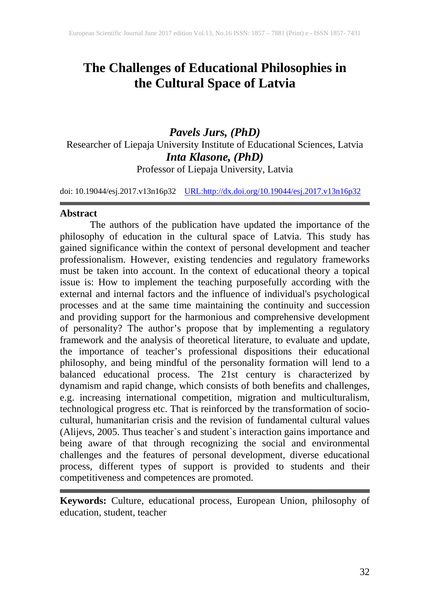# **The Challenges of Educational Philosophies in the Cultural Space of Latvia**

*Pavels Jurs, (PhD)* Researcher of Liepaja University Institute of Educational Sciences, Latvia *Inta Klasone, (PhD)* Professor of Liepaja University, Latvia

doi: 10.19044/esj.2017.v13n16p32 [URL:http://dx.doi.org/10.19044/esj.2017.v13n16p32](http://dx.doi.org/10.19044/esj.2017.v13n16p32)

#### **Abstract**

The authors of the publication have updated the importance of the philosophy of education in the cultural space of Latvia. This study has gained significance within the context of personal development and teacher professionalism. However, existing tendencies and regulatory frameworks must be taken into account. In the context of educational theory a topical issue is: How to implement the teaching purposefully according with the external and internal factors and the influence of individual's psychological processes and at the same time maintaining the continuity and succession and providing support for the harmonious and comprehensive development of personality? The author's propose that by implementing a regulatory framework and the analysis of theoretical literature, to evaluate and update, the importance of teacher's professional dispositions their educational philosophy, and being mindful of the personality formation will lend to a balanced educational process. The 21st century is characterized by dynamism and rapid change, which consists of both benefits and challenges, e.g. increasing international competition, migration and multiculturalism, technological progress etc. That is reinforced by the transformation of sociocultural, humanitarian crisis and the revision of fundamental cultural values (Alijevs, 2005. Thus teacher`s and student`s interaction gains importance and being aware of that through recognizing the social and environmental challenges and the features of personal development, diverse educational process, different types of support is provided to students and their competitiveness and competences are promoted.

**Keywords:** Culture, educational process, European Union, philosophy of education, student, teacher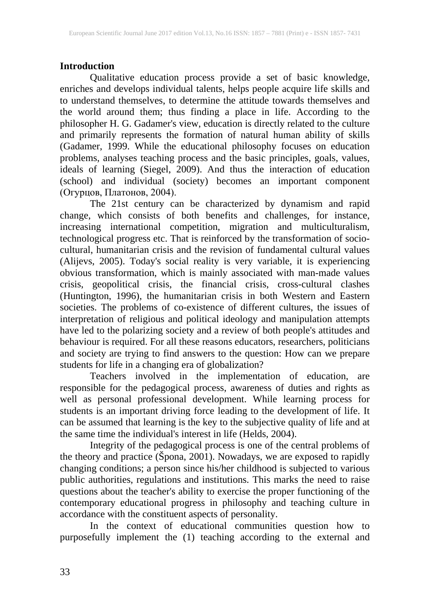# **Introduction**

Qualitative education process provide a set of basic knowledge, enriches and develops individual talents, helps people acquire life skills and to understand themselves, to determine the attitude towards themselves and the world around them; thus finding a place in life. According to the philosopher H. G. Gadamer's view, education is directly related to the culture and primarily represents the formation of natural human ability of skills (Gadamer, 1999. While the educational philosophy focuses on education problems, analyses teaching process and the basic principles, goals, values, ideals of learning (Siegel, 2009). And thus the interaction of education (school) and individual (society) becomes an important component (Огурцов, Платонов, 2004).

The 21st century can be characterized by dynamism and rapid change, which consists of both benefits and challenges, for instance, increasing international competition, migration and multiculturalism, technological progress etc. That is reinforced by the transformation of sociocultural, humanitarian crisis and the revision of fundamental cultural values (Alijevs, 2005). Today's social reality is very variable, it is experiencing obvious transformation, which is mainly associated with man-made values crisis, geopolitical crisis, the financial crisis, cross-cultural clashes (Huntington, 1996), the humanitarian crisis in both Western and Eastern societies. The problems of co-existence of different cultures, the issues of interpretation of religious and political ideology and manipulation attempts have led to the polarizing society and a review of both people's attitudes and behaviour is required. For all these reasons educators, researchers, politicians and society are trying to find answers to the question: How can we prepare students for life in a changing era of globalization?

Teachers involved in the implementation of education, are responsible for the pedagogical process, awareness of duties and rights as well as personal professional development. While learning process for students is an important driving force leading to the development of life. It can be assumed that learning is the key to the subjective quality of life and at the same time the individual's interest in life (Helds, 2004).

Integrity of the pedagogical process is one of the central problems of the theory and practice (Špona, 2001). Nowadays, we are exposed to rapidly changing conditions; a person since his/her childhood is subjected to various public authorities, regulations and institutions. This marks the need to raise questions about the teacher's ability to exercise the proper functioning of the contemporary educational progress in philosophy and teaching culture in accordance with the constituent aspects of personality.

In the context of educational communities question how to purposefully implement the (1) teaching according to the external and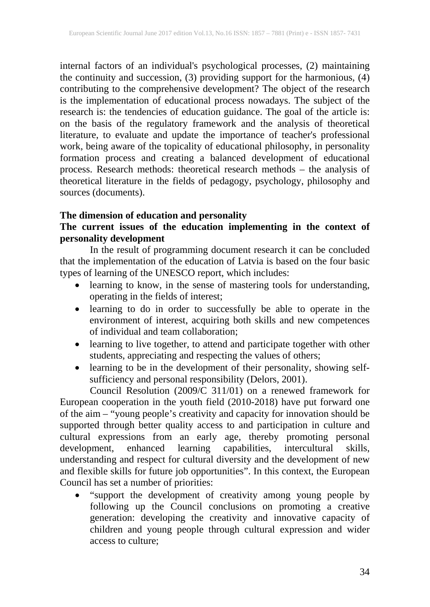internal factors of an individual's psychological processes, (2) maintaining the continuity and succession, (3) providing support for the harmonious, (4) contributing to the comprehensive development? The object of the research is the implementation of educational process nowadays. The subject of the research is: the tendencies of education guidance. The goal of the article is: on the basis of the regulatory framework and the analysis of theoretical literature, to evaluate and update the importance of teacher's professional work, being aware of the topicality of educational philosophy, in personality formation process and creating a balanced development of educational process. Research methods: theoretical research methods – the analysis of theoretical literature in the fields of pedagogy, psychology, philosophy and sources (documents).

#### **The dimension of education and personality**

# **The current issues of the education implementing in the context of personality development**

In the result of programming document research it can be concluded that the implementation of the education of Latvia is based on the four basic types of learning of the UNESCO report, which includes:

- learning to know, in the sense of mastering tools for understanding, operating in the fields of interest;
- learning to do in order to successfully be able to operate in the environment of interest, acquiring both skills and new competences of individual and team collaboration;
- learning to live together, to attend and participate together with other students, appreciating and respecting the values of others;
- learning to be in the development of their personality, showing selfsufficiency and personal responsibility (Delors, 2001).

Council Resolution (2009/C 311/01) on a renewed framework for European cooperation in the youth field (2010-2018) have put forward one of the aim – "young people's creativity and capacity for innovation should be supported through better quality access to and participation in culture and cultural expressions from an early age, thereby promoting personal development, enhanced learning capabilities, intercultural skills, understanding and respect for cultural diversity and the development of new and flexible skills for future job opportunities". In this context, the European Council has set a number of priorities:

• "support the development of creativity among young people by following up the Council conclusions on promoting a creative generation: developing the creativity and innovative capacity of children and young people through cultural expression and wider access to culture;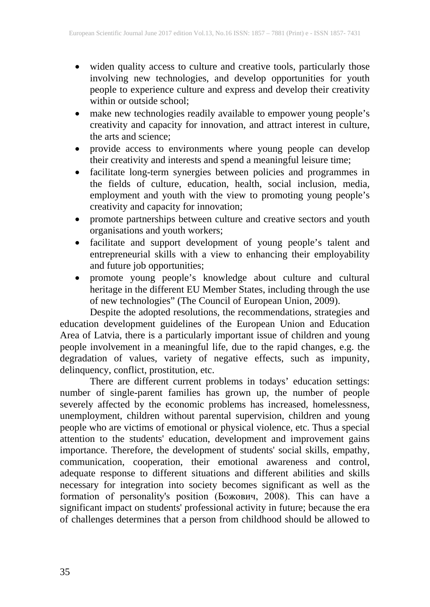- widen quality access to culture and creative tools, particularly those involving new technologies, and develop opportunities for youth people to experience culture and express and develop their creativity within or outside school;
- make new technologies readily available to empower young people's creativity and capacity for innovation, and attract interest in culture, the arts and science;
- provide access to environments where young people can develop their creativity and interests and spend a meaningful leisure time;
- facilitate long-term synergies between policies and programmes in the fields of culture, education, health, social inclusion, media, employment and youth with the view to promoting young people's creativity and capacity for innovation;
- promote partnerships between culture and creative sectors and youth organisations and youth workers;
- facilitate and support development of young people's talent and entrepreneurial skills with a view to enhancing their employability and future job opportunities;
- promote young people's knowledge about culture and cultural heritage in the different EU Member States, including through the use of new technologies" (The Council of European Union, 2009).

Despite the adopted resolutions, the recommendations, strategies and education development guidelines of the European Union and Education Area of Latvia, there is a particularly important issue of children and young people involvement in a meaningful life, due to the rapid changes, e.g. the degradation of values, variety of negative effects, such as impunity, delinquency, conflict, prostitution, etc.

There are different current problems in todays' education settings: number of single-parent families has grown up, the number of people severely affected by the economic problems has increased, homelessness, unemployment, children without parental supervision, children and young people who are victims of emotional or physical violence, etc. Thus a special attention to the students' education, development and improvement gains importance. Therefore, the development of students' social skills, empathy, communication, cooperation, their emotional awareness and control, adequate response to different situations and different abilities and skills necessary for integration into society becomes significant as well as the formation of personality's position (Божович, 2008). This can have a significant impact on students' professional activity in future; because the era of challenges determines that a person from childhood should be allowed to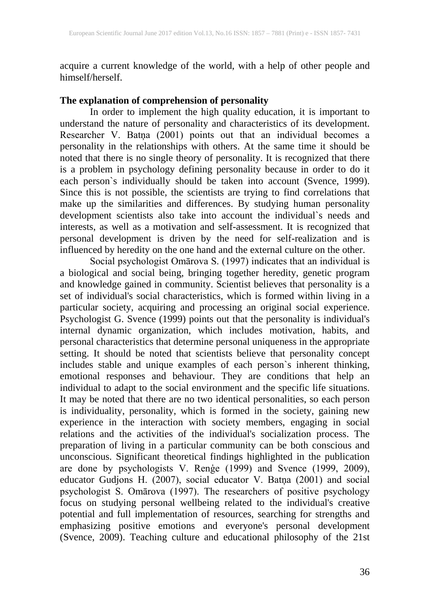acquire a current knowledge of the world, with a help of other people and himself/herself.

#### **The explanation of comprehension of personality**

In order to implement the high quality education, it is important to understand the nature of personality and characteristics of its development. Researcher V. Batņa (2001) points out that an individual becomes a personality in the relationships with others. At the same time it should be noted that there is no single theory of personality. It is recognized that there is a problem in psychology defining personality because in order to do it each person`s individually should be taken into account (Svence, 1999). Since this is not possible, the scientists are trying to find correlations that make up the similarities and differences. By studying human personality development scientists also take into account the individual`s needs and interests, as well as a motivation and self-assessment. It is recognized that personal development is driven by the need for self-realization and is influenced by heredity on the one hand and the external culture on the other.

Social psychologist Omārova S. (1997) indicates that an individual is a biological and social being, bringing together heredity, genetic program and knowledge gained in community. Scientist believes that personality is a set of individual's social characteristics, which is formed within living in a particular society, acquiring and processing an original social experience. Psychologist G. Svence (1999) points out that the personality is individual's internal dynamic organization, which includes motivation, habits, and personal characteristics that determine personal uniqueness in the appropriate setting. It should be noted that scientists believe that personality concept includes stable and unique examples of each person`s inherent thinking, emotional responses and behaviour. They are conditions that help an individual to adapt to the social environment and the specific life situations. It may be noted that there are no two identical personalities, so each person is individuality, personality, which is formed in the society, gaining new experience in the interaction with society members, engaging in social relations and the activities of the individual's socialization process. The preparation of living in a particular community can be both conscious and unconscious. Significant theoretical findings highlighted in the publication are done by psychologists V. Renģe (1999) and Svence (1999, 2009), educator Gudjons H. (2007), social educator V. Batņa (2001) and social psychologist S. Omārova (1997). The researchers of positive psychology focus on studying personal wellbeing related to the individual's creative potential and full implementation of resources, searching for strengths and emphasizing positive emotions and everyone's personal development (Svence, 2009). Teaching culture and educational philosophy of the 21st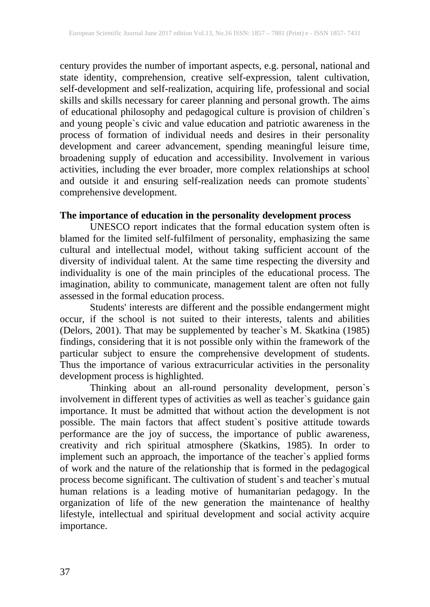century provides the number of important aspects, e.g. personal, national and state identity, comprehension, creative self-expression, talent cultivation, self-development and self-realization, acquiring life, professional and social skills and skills necessary for career planning and personal growth. The aims of educational philosophy and pedagogical culture is provision of children`s and young people`s civic and value education and patriotic awareness in the process of formation of individual needs and desires in their personality development and career advancement, spending meaningful leisure time, broadening supply of education and accessibility. Involvement in various activities, including the ever broader, more complex relationships at school and outside it and ensuring self-realization needs can promote students` comprehensive development.

# **The importance of education in the personality development process**

UNESCO report indicates that the formal education system often is blamed for the limited self-fulfilment of personality, emphasizing the same cultural and intellectual model, without taking sufficient account of the diversity of individual talent. At the same time respecting the diversity and individuality is one of the main principles of the educational process. The imagination, ability to communicate, management talent are often not fully assessed in the formal education process.

Students' interests are different and the possible endangerment might occur, if the school is not suited to their interests, talents and abilities (Delors, 2001). That may be supplemented by teacher`s M. Skatkina (1985) findings, considering that it is not possible only within the framework of the particular subject to ensure the comprehensive development of students. Thus the importance of various extracurricular activities in the personality development process is highlighted.

Thinking about an all-round personality development, person`s involvement in different types of activities as well as teacher`s guidance gain importance. It must be admitted that without action the development is not possible. The main factors that affect student`s positive attitude towards performance are the joy of success, the importance of public awareness, creativity and rich spiritual atmosphere (Skatkins, 1985). In order to implement such an approach, the importance of the teacher`s applied forms of work and the nature of the relationship that is formed in the pedagogical process become significant. The cultivation of student`s and teacher`s mutual human relations is a leading motive of humanitarian pedagogy. In the organization of life of the new generation the maintenance of healthy lifestyle, intellectual and spiritual development and social activity acquire importance.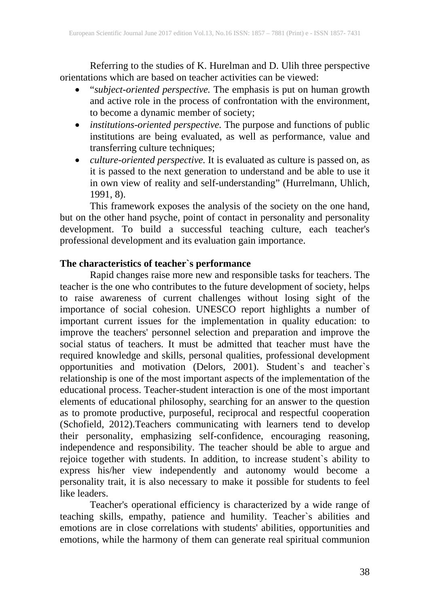Referring to the studies of K. Hurelman and D. Ulih three perspective orientations which are based on teacher activities can be viewed:

- "*subject-oriented perspective.* The emphasis is put on human growth and active role in the process of confrontation with the environment, to become a dynamic member of society;
- *institutions-oriented perspective.* The purpose and functions of public institutions are being evaluated, as well as performance, value and transferring culture techniques;
- *culture-oriented perspective.* It is evaluated as culture is passed on, as it is passed to the next generation to understand and be able to use it in own view of reality and self-understanding" (Hurrelmann, Uhlich, 1991, 8).

This framework exposes the analysis of the society on the one hand, but on the other hand psyche, point of contact in personality and personality development. To build a successful teaching culture, each teacher's professional development and its evaluation gain importance.

#### **The characteristics of teacher`s performance**

Rapid changes raise more new and responsible tasks for teachers. The teacher is the one who contributes to the future development of society, helps to raise awareness of current challenges without losing sight of the importance of social cohesion. UNESCO report highlights a number of important current issues for the implementation in quality education: to improve the teachers' personnel selection and preparation and improve the social status of teachers. It must be admitted that teacher must have the required knowledge and skills, personal qualities, professional development opportunities and motivation (Delors, 2001). Student`s and teacher`s relationship is one of the most important aspects of the implementation of the educational process. Teacher-student interaction is one of the most important elements of educational philosophy, searching for an answer to the question as to promote productive, purposeful, reciprocal and respectful cooperation (Schofield, 2012).Teachers communicating with learners tend to develop their personality, emphasizing self-confidence, encouraging reasoning, independence and responsibility. The teacher should be able to argue and rejoice together with students. In addition, to increase student`s ability to express his/her view independently and autonomy would become a personality trait, it is also necessary to make it possible for students to feel like leaders.

Teacher's operational efficiency is characterized by a wide range of teaching skills, empathy, patience and humility. Teacher`s abilities and emotions are in close correlations with students' abilities, opportunities and emotions, while the harmony of them can generate real spiritual communion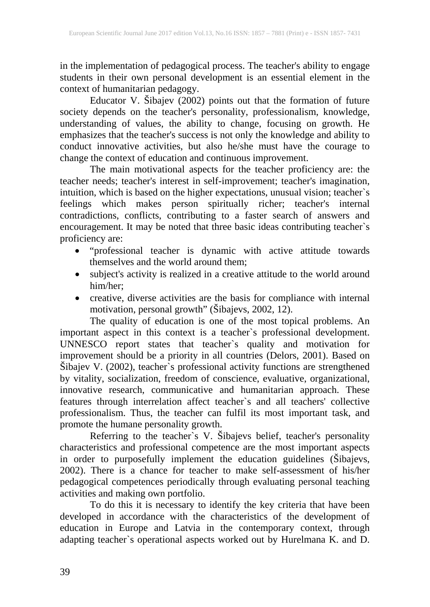in the implementation of pedagogical process. The teacher's ability to engage students in their own personal development is an essential element in the context of humanitarian pedagogy.

Educator V. Šibajev (2002) points out that the formation of future society depends on the teacher's personality, professionalism, knowledge, understanding of values, the ability to change, focusing on growth. He emphasizes that the teacher's success is not only the knowledge and ability to conduct innovative activities, but also he/she must have the courage to change the context of education and continuous improvement.

The main motivational aspects for the teacher proficiency are: the teacher needs; teacher's interest in self-improvement; teacher's imagination, intuition, which is based on the higher expectations, unusual vision; teacher`s feelings which makes person spiritually richer; teacher's internal contradictions, conflicts, contributing to a faster search of answers and encouragement. It may be noted that three basic ideas contributing teacher`s proficiency are:

- "professional teacher is dynamic with active attitude towards themselves and the world around them;
- subject's activity is realized in a creative attitude to the world around him/her;
- creative, diverse activities are the basis for compliance with internal motivation, personal growth" (Šibajevs, 2002, 12).

The quality of education is one of the most topical problems. An important aspect in this context is a teacher`s professional development. UNNESCO report states that teacher`s quality and motivation for improvement should be a priority in all countries (Delors, 2001). Based on Šibajev V. (2002), teacher`s professional activity functions are strengthened by vitality, socialization, freedom of conscience, evaluative, organizational, innovative research, communicative and humanitarian approach. These features through interrelation affect teacher`s and all teachers' collective professionalism. Thus, the teacher can fulfil its most important task, and promote the humane personality growth.

Referring to the teacher`s V. Šibajevs belief, teacher's personality characteristics and professional competence are the most important aspects in order to purposefully implement the education guidelines (Šibajevs, 2002). There is a chance for teacher to make self-assessment of his/her pedagogical competences periodically through evaluating personal teaching activities and making own portfolio.

To do this it is necessary to identify the key criteria that have been developed in accordance with the characteristics of the development of education in Europe and Latvia in the contemporary context, through adapting teacher`s operational aspects worked out by Hurelmana K. and D.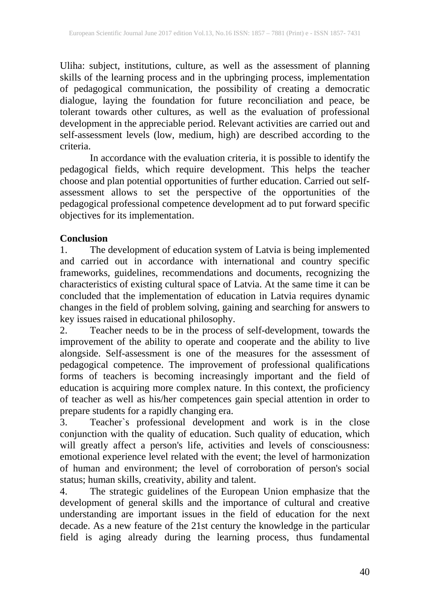Uliha: subject, institutions, culture, as well as the assessment of planning skills of the learning process and in the upbringing process, implementation of pedagogical communication, the possibility of creating a democratic dialogue, laying the foundation for future reconciliation and peace, be tolerant towards other cultures, as well as the evaluation of professional development in the appreciable period. Relevant activities are carried out and self-assessment levels (low, medium, high) are described according to the criteria.

In accordance with the evaluation criteria, it is possible to identify the pedagogical fields, which require development. This helps the teacher choose and plan potential opportunities of further education. Carried out selfassessment allows to set the perspective of the opportunities of the pedagogical professional competence development ad to put forward specific objectives for its implementation.

# **Conclusion**

1. The development of education system of Latvia is being implemented and carried out in accordance with international and country specific frameworks, guidelines, recommendations and documents, recognizing the characteristics of existing cultural space of Latvia. At the same time it can be concluded that the implementation of education in Latvia requires dynamic changes in the field of problem solving, gaining and searching for answers to key issues raised in educational philosophy.

2. Teacher needs to be in the process of self-development, towards the improvement of the ability to operate and cooperate and the ability to live alongside. Self-assessment is one of the measures for the assessment of pedagogical competence. The improvement of professional qualifications forms of teachers is becoming increasingly important and the field of education is acquiring more complex nature. In this context, the proficiency of teacher as well as his/her competences gain special attention in order to prepare students for a rapidly changing era.

3. Teacher`s professional development and work is in the close conjunction with the quality of education. Such quality of education, which will greatly affect a person's life, activities and levels of consciousness: emotional experience level related with the event; the level of harmonization of human and environment; the level of corroboration of person's social status; human skills, creativity, ability and talent.

4. The strategic guidelines of the European Union emphasize that the development of general skills and the importance of cultural and creative understanding are important issues in the field of education for the next decade. As a new feature of the 21st century the knowledge in the particular field is aging already during the learning process, thus fundamental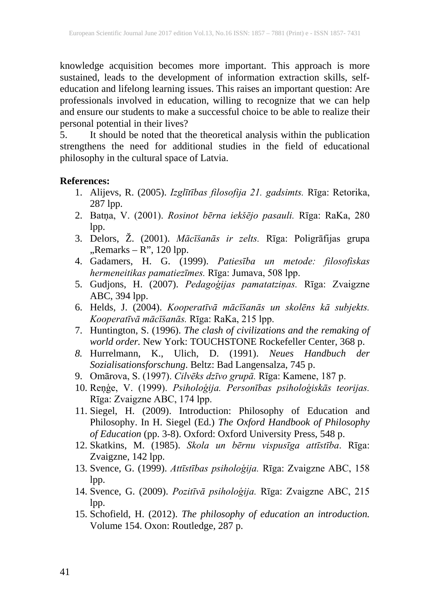knowledge acquisition becomes more important. This approach is more sustained, leads to the development of information extraction skills, selfeducation and lifelong learning issues. This raises an important question: Are professionals involved in education, willing to recognize that we can help and ensure our students to make a successful choice to be able to realize their personal potential in their lives?

5. It should be noted that the theoretical analysis within the publication strengthens the need for additional studies in the field of educational philosophy in the cultural space of Latvia.

#### **References:**

- 1. Alijevs, R. (2005). *Izglītības filosofija 21. gadsimts.* Rīga: Retorika, 287 lpp.
- 2. Batņa, V. (2001). *Rosinot bērna iekšējo pasauli.* Rīga: RaKa, 280 lpp.
- 3. Delors, Ž. (2001). *Mācīšanās ir zelts.* Rīga: Poligrāfijas grupa  $Remarks - R$ ", 120 lpp.
- 4. Gadamers, H. G. (1999). *Patiesība un metode: filosofiskas hermeneitikas pamatiezīmes.* Rīga: Jumava, 508 lpp.
- 5. Gudjons, H. (2007). *Pedagoģijas pamatatziņas.* Rīga: Zvaigzne ABC, 394 lpp.
- 6. Helds, J. (2004). *Kooperatīvā mācīšanās un skolēns kā subjekts. Kooperatīvā mācīšanās.* Rīga: RaKa, 215 lpp.
- 7. Huntington, S. (1996). *The clash of civilizations and the remaking of world order.* New York: TOUCHSTONE Rockefeller Center, 368 p.
- *8.* Hurrelmann, K., Ulich, D. (1991). *Neues Handbuch der Sozialisationsforschung*. Beltz: Bad Langensalza, 745 p.
- 9. Omārova, S. (1997). *Cilvēks dzīvo grupā.* Rīga: Kamene, 187 p.
- 10. Reņģe, V. (1999). *Psiholoģija. Personības psiholoģiskās teorijas.* Rīga: Zvaigzne ABC, 174 lpp.
- 11. Siegel, H. (2009). Introduction: Philosophy of Education and Philosophy. In H. Siegel (Ed.) *The Oxford Handbook of Philosophy of Education* (pp. 3-8). Oxford: Oxford University Press, 548 p.
- 12. Skatkins, M. (1985). *Skola un bērnu vispusīga attīstība*. Rīga: Zvaigzne, 142 lpp.
- 13. Svence, G. (1999). *Attīstības psiholoģija.* Rīga: Zvaigzne ABC, 158 lpp.
- 14. Svence, G. (2009). *Pozitīvā psiholoģija.* Rīga: Zvaigzne ABC, 215 lpp.
- 15. Schofield, H. (2012). *The philosophy of education an introduction.* Volume 154. Oxon: Routledge, 287 p.